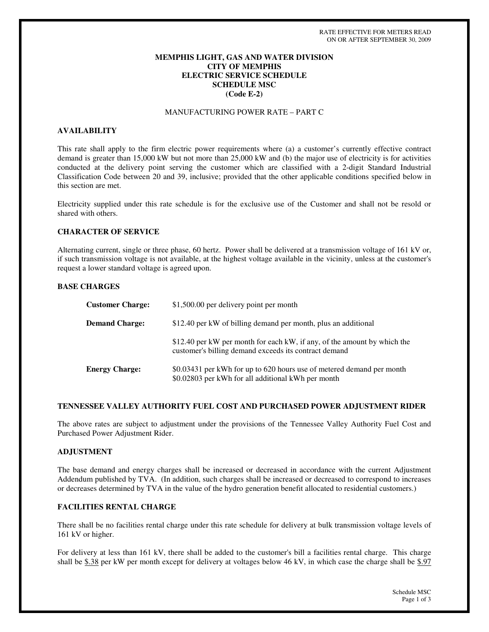## **MEMPHIS LIGHT, GAS AND WATER DIVISION CITY OF MEMPHIS ELECTRIC SERVICE SCHEDULE SCHEDULE MSC (Code E-2)**

# MANUFACTURING POWER RATE – PART C

## **AVAILABILITY**

This rate shall apply to the firm electric power requirements where (a) a customer's currently effective contract demand is greater than 15,000 kW but not more than 25,000 kW and (b) the major use of electricity is for activities conducted at the delivery point serving the customer which are classified with a 2-digit Standard Industrial Classification Code between 20 and 39, inclusive; provided that the other applicable conditions specified below in this section are met.

Electricity supplied under this rate schedule is for the exclusive use of the Customer and shall not be resold or shared with others.

#### **CHARACTER OF SERVICE**

Alternating current, single or three phase, 60 hertz. Power shall be delivered at a transmission voltage of 161 kV or, if such transmission voltage is not available, at the highest voltage available in the vicinity, unless at the customer's request a lower standard voltage is agreed upon.

### **BASE CHARGES**

| <b>Customer Charge:</b> | \$1,500.00 per delivery point per month                                                                                           |
|-------------------------|-----------------------------------------------------------------------------------------------------------------------------------|
| <b>Demand Charge:</b>   | \$12.40 per kW of billing demand per month, plus an additional                                                                    |
|                         | \$12.40 per kW per month for each kW, if any, of the amount by which the<br>customer's billing demand exceeds its contract demand |
| <b>Energy Charge:</b>   | \$0.03431 per kWh for up to 620 hours use of metered demand per month<br>\$0.02803 per kWh for all additional kWh per month       |

## **TENNESSEE VALLEY AUTHORITY FUEL COST AND PURCHASED POWER ADJUSTMENT RIDER**

The above rates are subject to adjustment under the provisions of the Tennessee Valley Authority Fuel Cost and Purchased Power Adjustment Rider.

### **ADJUSTMENT**

The base demand and energy charges shall be increased or decreased in accordance with the current Adjustment Addendum published by TVA. (In addition, such charges shall be increased or decreased to correspond to increases or decreases determined by TVA in the value of the hydro generation benefit allocated to residential customers.)

### **FACILITIES RENTAL CHARGE**

There shall be no facilities rental charge under this rate schedule for delivery at bulk transmission voltage levels of 161 kV or higher.

For delivery at less than 161 kV, there shall be added to the customer's bill a facilities rental charge. This charge shall be  $$.38$  per kW per month except for delivery at voltages below 46 kV, in which case the charge shall be  $$.97$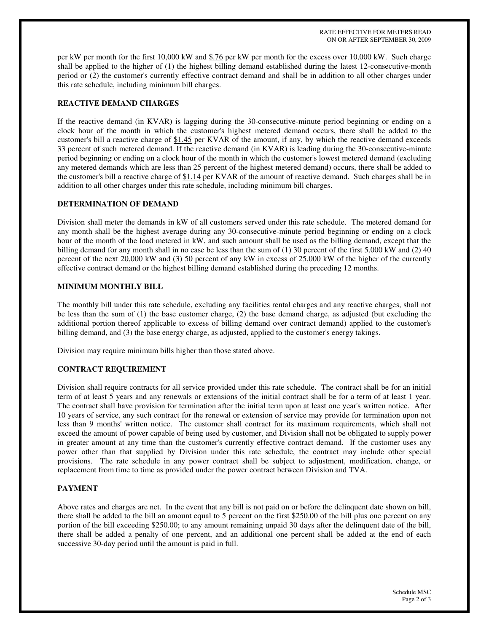RATE EFFECTIVE FOR METERS READ ON OR AFTER SEPTEMBER 30, 2009

per kW per month for the first 10,000 kW and \$.76 per kW per month for the excess over 10,000 kW. Such charge shall be applied to the higher of (1) the highest billing demand established during the latest 12-consecutive-month period or (2) the customer's currently effective contract demand and shall be in addition to all other charges under this rate schedule, including minimum bill charges.

## **REACTIVE DEMAND CHARGES**

If the reactive demand (in KVAR) is lagging during the 30-consecutive-minute period beginning or ending on a clock hour of the month in which the customer's highest metered demand occurs, there shall be added to the customer's bill a reactive charge of \$1.45 per KVAR of the amount, if any, by which the reactive demand exceeds 33 percent of such metered demand. If the reactive demand (in KVAR) is leading during the 30-consecutive-minute period beginning or ending on a clock hour of the month in which the customer's lowest metered demand (excluding any metered demands which are less than 25 percent of the highest metered demand) occurs, there shall be added to the customer's bill a reactive charge of \$1.14 per KVAR of the amount of reactive demand. Such charges shall be in addition to all other charges under this rate schedule, including minimum bill charges.

## **DETERMINATION OF DEMAND**

Division shall meter the demands in kW of all customers served under this rate schedule. The metered demand for any month shall be the highest average during any 30-consecutive-minute period beginning or ending on a clock hour of the month of the load metered in kW, and such amount shall be used as the billing demand, except that the billing demand for any month shall in no case be less than the sum of (1) 30 percent of the first 5,000 kW and (2) 40 percent of the next 20,000 kW and (3) 50 percent of any kW in excess of 25,000 kW of the higher of the currently effective contract demand or the highest billing demand established during the preceding 12 months.

## **MINIMUM MONTHLY BILL**

The monthly bill under this rate schedule, excluding any facilities rental charges and any reactive charges, shall not be less than the sum of (1) the base customer charge, (2) the base demand charge, as adjusted (but excluding the additional portion thereof applicable to excess of billing demand over contract demand) applied to the customer's billing demand, and (3) the base energy charge, as adjusted, applied to the customer's energy takings.

Division may require minimum bills higher than those stated above.

## **CONTRACT REQUIREMENT**

Division shall require contracts for all service provided under this rate schedule. The contract shall be for an initial term of at least 5 years and any renewals or extensions of the initial contract shall be for a term of at least 1 year. The contract shall have provision for termination after the initial term upon at least one year's written notice. After 10 years of service, any such contract for the renewal or extension of service may provide for termination upon not less than 9 months'written notice. The customer shall contract for its maximum requirements, which shall not exceed the amount of power capable of being used by customer, and Division shall not be obligated to supply power in greater amount at any time than the customer's currently effective contract demand. If the customer uses any power other than that supplied by Division under this rate schedule, the contract may include other special provisions. The rate schedule in any power contract shall be subject to adjustment, modification, change, or replacement from time to time as provided under the power contract between Division and TVA.

### **PAYMENT**

Above rates and charges are net. In the event that any bill is not paid on or before the delinquent date shown on bill, there shall be added to the bill an amount equal to 5 percent on the first \$250.00 of the bill plus one percent on any portion of the bill exceeding \$250.00; to any amount remaining unpaid 30 days after the delinquent date of the bill, there shall be added a penalty of one percent, and an additional one percent shall be added at the end of each successive 30-day period until the amount is paid in full.